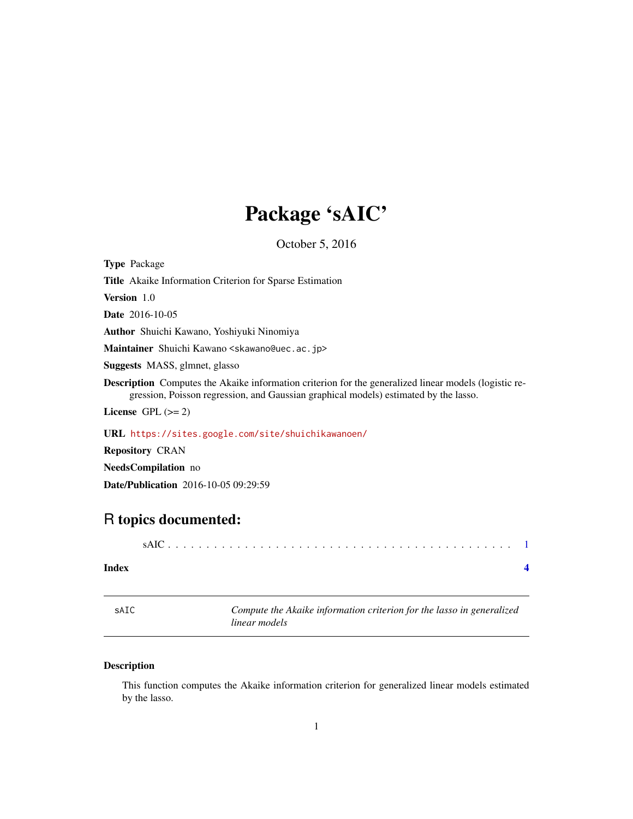## Package 'sAIC'

October 5, 2016

<span id="page-0-0"></span>Type Package

Title Akaike Information Criterion for Sparse Estimation

Version 1.0

Date 2016-10-05

Author Shuichi Kawano, Yoshiyuki Ninomiya

Maintainer Shuichi Kawano <skawano@uec.ac.jp>

Suggests MASS, glmnet, glasso

Description Computes the Akaike information criterion for the generalized linear models (logistic regression, Poisson regression, and Gaussian graphical models) estimated by the lasso.

License GPL  $(>= 2)$ 

URL <https://sites.google.com/site/shuichikawanoen/>

Repository CRAN

NeedsCompilation no

Date/Publication 2016-10-05 09:29:59

### R topics documented:

|--|

#### **Index** [4](#page-3-0)

sAIC *Compute the Akaike information criterion for the lasso in generalized linear models*

#### Description

This function computes the Akaike information criterion for generalized linear models estimated by the lasso.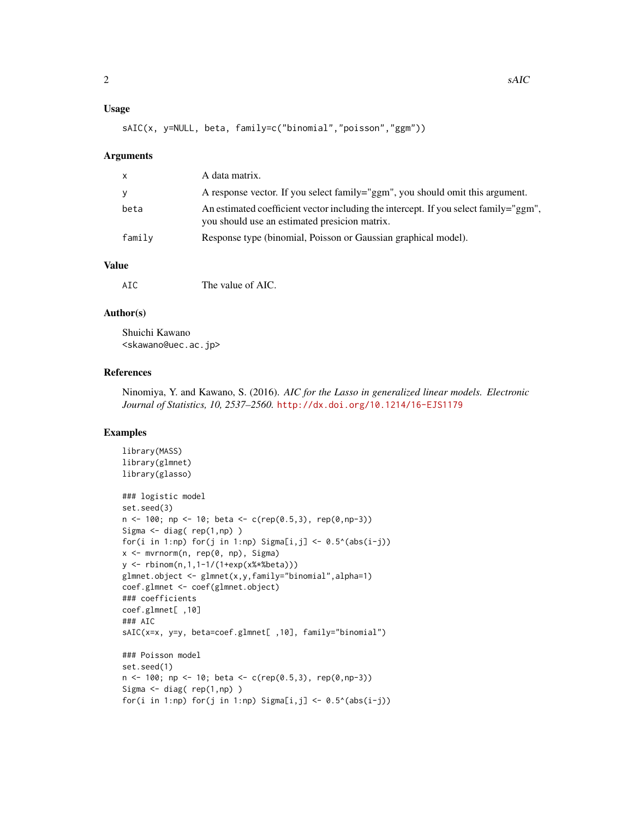#### Usage

```
sAIC(x, y=NULL, beta, family=c("binomial","poisson","ggm"))
```
#### **Arguments**

| A response vector. If you select family="ggm", you should omit this argument.        |
|--------------------------------------------------------------------------------------|
| An estimated coefficient vector including the intercept. If you select family="ggm", |
|                                                                                      |
|                                                                                      |

#### Value

#### Author(s)

Shuichi Kawano <skawano@uec.ac.jp>

#### References

Ninomiya, Y. and Kawano, S. (2016). *AIC for the Lasso in generalized linear models. Electronic Journal of Statistics, 10, 2537–2560.* <http://dx.doi.org/10.1214/16-EJS1179>

#### Examples

```
library(MASS)
library(glmnet)
library(glasso)
### logistic model
set.seed(3)
n \le -100; np \le -10; beta \le -c(rep(0.5,3), rep(0,np-3))
Sigma <- diag( rep(1,np) )
for(i in 1:np) for(j in 1:np) Sigma[i,j] <- 0.5^{\circ}(abs(i-j))
x <- mvrnorm(n, rep(0, np), Sigma)
y <- rbinom(n,1,1-1/(1+exp(x%*%beta)))
glmnet.object <- glmnet(x,y,family="binomial",alpha=1)
coef.glmnet <- coef(glmnet.object)
### coefficients
coef.glmnet[ ,10]
### AIC
sAIC(x=x, y=y, beta=coef.glmnet[ ,10], family="binomial")
### Poisson model
set.seed(1)
n \le -100; np \le -10; beta \le c(rep(0.5,3), rep(0,np-3))
Sigma \leq diag( rep(1,np) )
for(i in 1:np) for(j in 1:np) Sigma[i,j] <- 0.5^{\circ}(abs(i-j))
```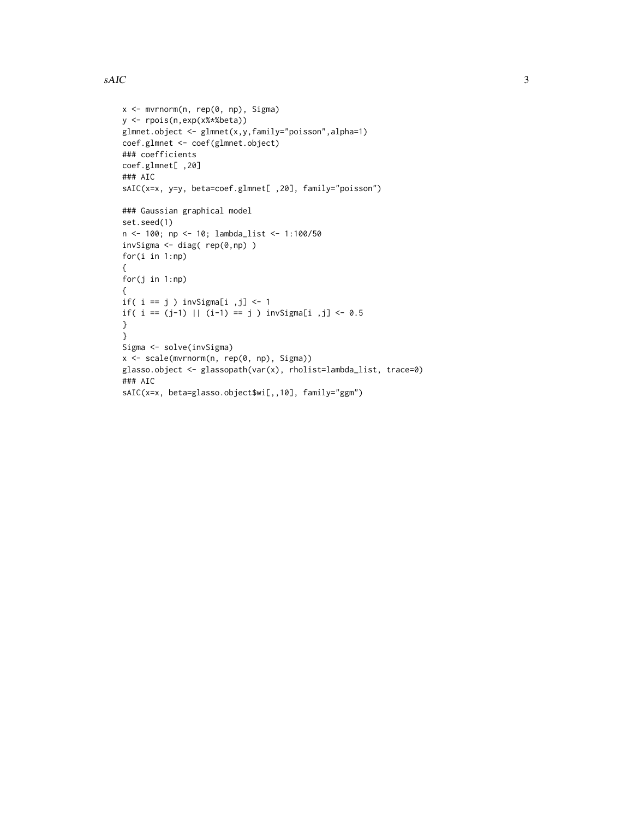#### $sAIC$  3

```
x <- mvrnorm(n, rep(0, np), Sigma)
y <- rpois(n,exp(x%*%beta))
glmnet.object <- glmnet(x,y,family="poisson",alpha=1)
coef.glmnet <- coef(glmnet.object)
### coefficients
coef.glmnet[ ,20]
### AIC
sAIC(x=x, y=y, beta=coef.glmnet[ ,20], family="poisson")
### Gaussian graphical model
set.seed(1)
n <- 100; np <- 10; lambda_list <- 1:100/50
invSigma <- diag( rep(0,np) )
for(i in 1:np)
{
for(j in 1:np)
{
if( i == j ) invSignal[i , j] < -1if( i = (j-1) || (i-1) == j ) invSigma[ii, j] < -0.5}
}
Sigma <- solve(invSigma)
x <- scale(mvrnorm(n, rep(0, np), Sigma))
glasso.object <- glassopath(var(x), rholist=lambda_list, trace=0)
### AIC
sAIC(x=x, beta=glasso.object$wi[,,10], family="ggm")
```